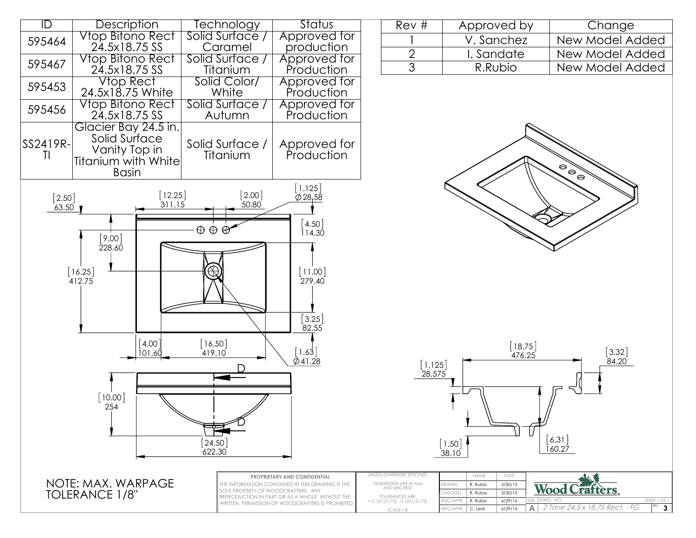

| Rev# | Approved by | Change          |  |  |
|------|-------------|-----------------|--|--|
|      | V. Sanchez  | New Model Added |  |  |
|      | I. Sandate  | New Model Added |  |  |
|      | R.Rubio     | New Model Added |  |  |
|      |             |                 |  |  |





|                   | PROPRIETARY AND CONFIDENTIAL                                                                                                                                                                  | UNLESS OTHERWISE SPECIFIED                                                                           |           | NAME     | DATE    |                                       |
|-------------------|-----------------------------------------------------------------------------------------------------------------------------------------------------------------------------------------------|------------------------------------------------------------------------------------------------------|-----------|----------|---------|---------------------------------------|
| [E: MAX. WARPAGE] | THE INFORMATION CONTAINED IN THIS DRAWING IS THE<br>SOLE PROPERTY OF WOODCRAFTERS. ANY<br>REPRODUCTION IN PART OR AS A WHOLE WITHOUT THE<br>WRITTEN PERMISSION OF WOODCRAFTERS IS PROHIBITED. | DIMENSIONS ARE IN MM.<br>AND [INCHES]<br><b>TOLERANCES ARE</b><br>$+0.125$ [3.175] $-0.125$ [-3.175] | dkawn     | R. Rubio | 3/30/15 | <b>Traffers</b><br>Wood I             |
| /8"<br>ERANCE 1   |                                                                                                                                                                                               |                                                                                                      | CHECKED   | R. Rubio | 3/30/15 |                                       |
|                   |                                                                                                                                                                                               |                                                                                                      | ENG APPR. | R. Rubio | 6/29/16 | SIZE   DWG. NO.<br>SHEET 1 OF 1       |
|                   |                                                                                                                                                                                               | SCALE:1:8                                                                                            | MFG APPR. | C. Leal  | 6/29/16 | <i>2 Tone 24.5 x 18.75 Rect. - FG</i> |